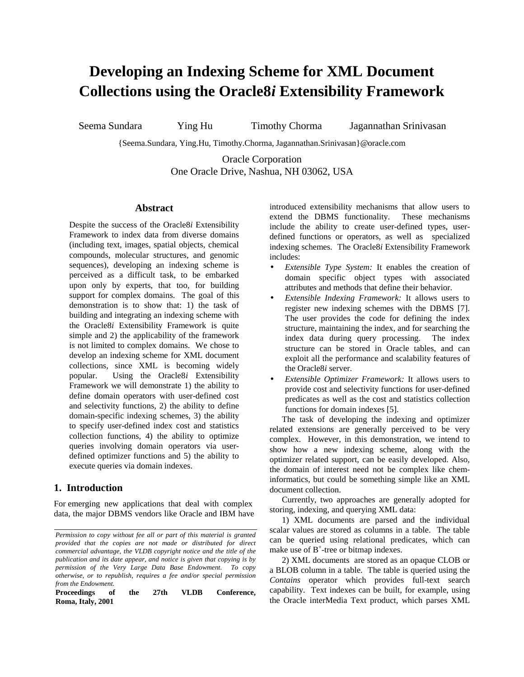# **Developing an Indexing Scheme for XML Document Collections using the Oracle8***i* **Extensibility Framework**

Seema Sundara Ying Hu Timothy Chorma Jagannathan Srinivasan

{Seema.Sundara, Ying.Hu, Timothy.Chorma, Jagannathan.Srinivasan}@oracle.com

Oracle Corporation One Oracle Drive, Nashua, NH 03062, USA

# **Abstract**

Despite the success of the Oracle8*i* Extensibility Framework to index data from diverse domains (including text, images, spatial objects, chemical compounds, molecular structures, and genomic sequences), developing an indexing scheme is perceived as a difficult task, to be embarked upon only by experts, that too, for building support for complex domains. The goal of this demonstration is to show that: 1) the task of building and integrating an indexing scheme with the Oracle8*i* Extensibility Framework is quite simple and 2) the applicability of the framework is not limited to complex domains. We chose to develop an indexing scheme for XML document collections, since XML is becoming widely popular. Using the Oracle8*i* Extensibility Framework we will demonstrate 1) the ability to define domain operators with user-defined cost and selectivity functions, 2) the ability to define domain-specific indexing schemes, 3) the ability to specify user-defined index cost and statistics collection functions, 4) the ability to optimize queries involving domain operators via userdefined optimizer functions and 5) the ability to execute queries via domain indexes.

# **1. Introduction**

For emerging new applications that deal with complex data, the major DBMS vendors like Oracle and IBM have

**Proceedings of the 27th VLDB Conference, Roma, Italy, 2001**

introduced extensibility mechanisms that allow users to extend the DBMS functionality. These mechanisms include the ability to create user-defined types, userdefined functions or operators, as well as specialized indexing schemes. The Oracle8*i* Extensibility Framework includes:

- *Extensible Type System:* It enables the creation of domain specific object types with associated attributes and methods that define their behavior.
- *Extensible Indexing Framework:* It allows users to register new indexing schemes with the DBMS [7]. The user provides the code for defining the index structure, maintaining the index, and for searching the index data during query processing. The index structure can be stored in Oracle tables, and can exploit all the performance and scalability features of the Oracle8*i* server.
- *Extensible Optimizer Framework:* It allows users to provide cost and selectivity functions for user-defined predicates as well as the cost and statistics collection functions for domain indexes [5].

The task of developing the indexing and optimizer related extensions are generally perceived to be very complex. However, in this demonstration, we intend to show how a new indexing scheme, along with the optimizer related support, can be easily developed. Also, the domain of interest need not be complex like cheminformatics, but could be something simple like an XML document collection.

Currently, two approaches are generally adopted for storing, indexing, and querying XML data:

1) XML documents are parsed and the individual scalar values are stored as columns in a table. The table can be queried using relational predicates, which can make use of B<sup>+</sup>-tree or bitmap indexes.

2) XML documents are stored as an opaque CLOB or a BLOB column in a table. The table is queried using the *Contains* operator which provides full-text search capability. Text indexes can be built, for example, using the Oracle interMedia Text product, which parses XML

*Permission to copy without fee all or part of this material is granted provided that the copies are not made or distributed for direct commercial advantage, the VLDB copyright notice and the title of the publication and its date appear, and notice is given that copying is by permission of the Very Large Data Base Endowment. To copy otherwise, or to republish, requires a fee and/or special permission from the Endowment.*